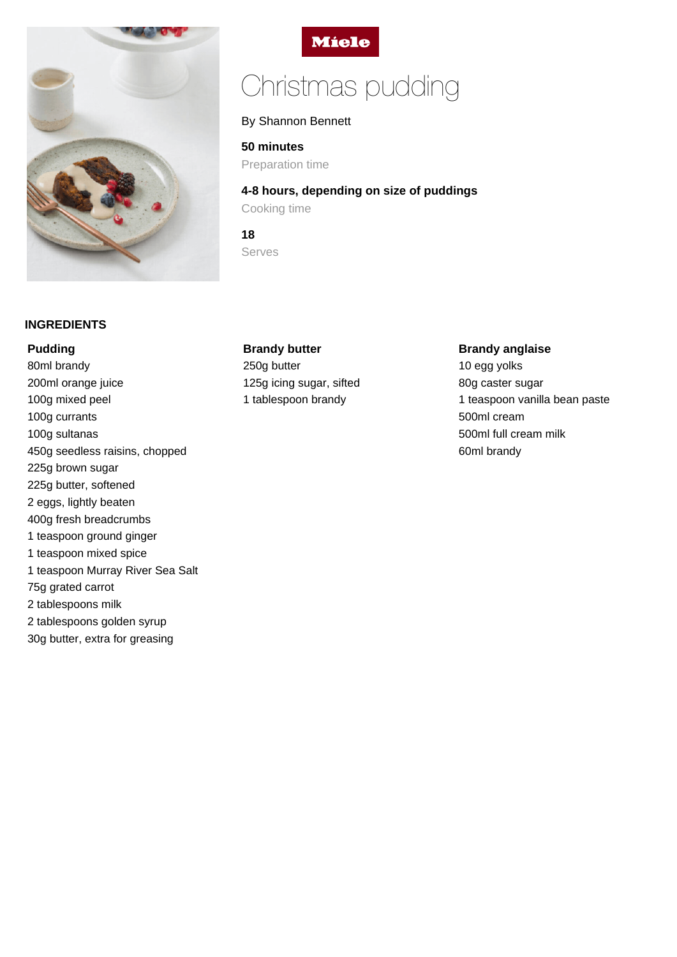



# Christmas pudding

## By Shannon Bennett

## **50 minutes**

Preparation time

**4-8 hours, depending on size of puddings** Cooking time

**18** Serves

## **INGREDIENTS**

## **Pudding**

80ml brandy 200ml orange juice 100g mixed peel 100g currants 100g sultanas 450g seedless raisins, chopped 225g brown sugar 225g butter, softened 2 eggs, lightly beaten 400g fresh breadcrumbs 1 teaspoon ground ginger 1 teaspoon mixed spice 1 teaspoon Murray River Sea Salt 75g grated carrot 2 tablespoons milk 2 tablespoons golden syrup 30g butter, extra for greasing

## **Brandy butter**

250g butter 125g icing sugar, sifted 1 tablespoon brandy

## **Brandy anglaise**

10 egg yolks 80g caster sugar 1 teaspoon vanilla bean paste 500ml cream 500ml full cream milk 60ml brandy